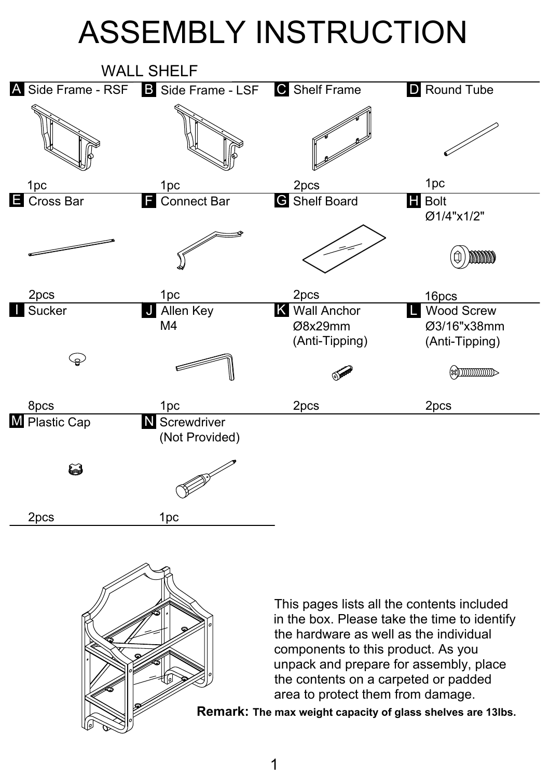## ASSEMBLY INSTRUCTION





This pages lists all the contents included in the box. Please take the time to identify the hardware as well as the individual components to this product. As you unpack and prepare for assembly, place the contents on a carpeted or padded area to protect them from damage.

**Remark: The max weight capacity of glass shelves are 13lbs.**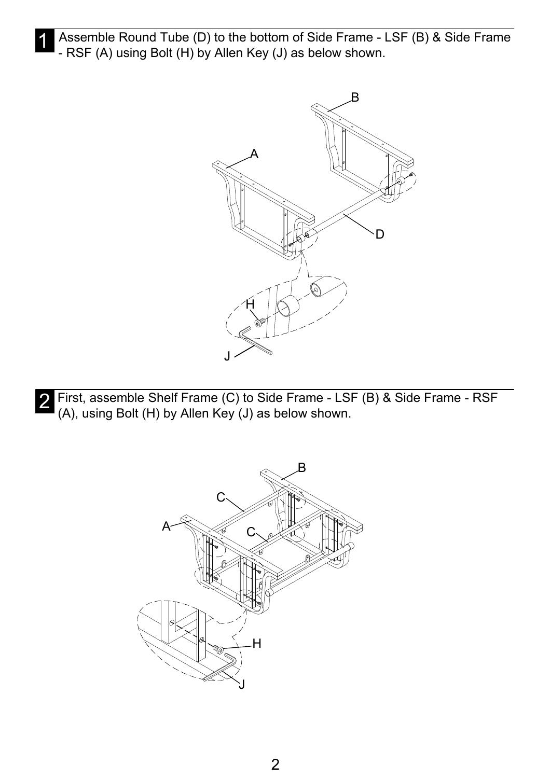Assemble Round Tube (D) to the bottom of Side Frame - LSF (B) & Side Frame - RSF (A) using Bolt  $(H)$  by Allen Key (J) as below shown.



2 First, assemble Shelf Frame (C) to Side Frame - LSF (B) & Side Frame - RSF<br>(A) using Belt (H) by Allen Key (J) as below shown (A), using Bolt (H) by Allen Key (J) as below shown.

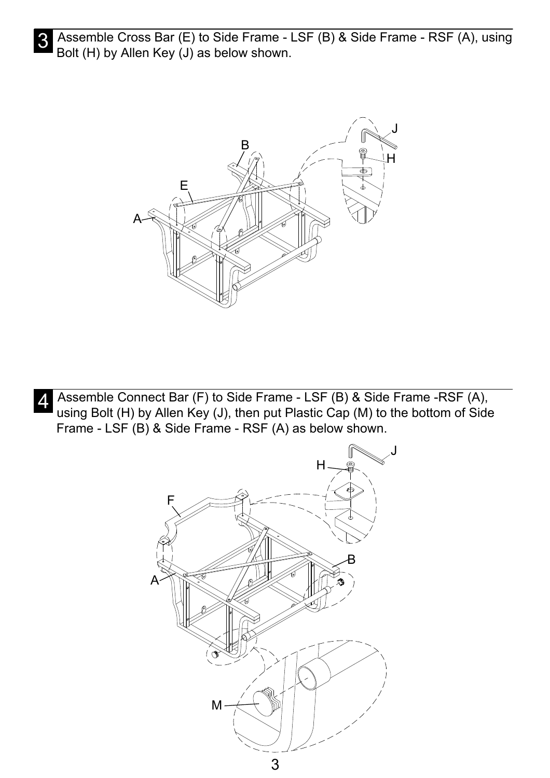3 Assemble Cross Bar (E) to Side Frame - LSF (B) & Side Frame - RSF (A), using<br>Belt (H) by Allen Key (I) as belew shown Bolt (H) by Allen Key (J) as below shown.



Assemble Connect Bar (F) to Side Frame - LSF (B) & Side Frame - RSF (A),<br>A using Belt (H) by Allen Key (J), then put Plastic Cap (M) to the better of Side using Bolt (H) by Allen Key (J), then put Plastic Cap (M) to the bottom of Side Frame - LSF (B) & Side Frame - RSF (A) as below shown.